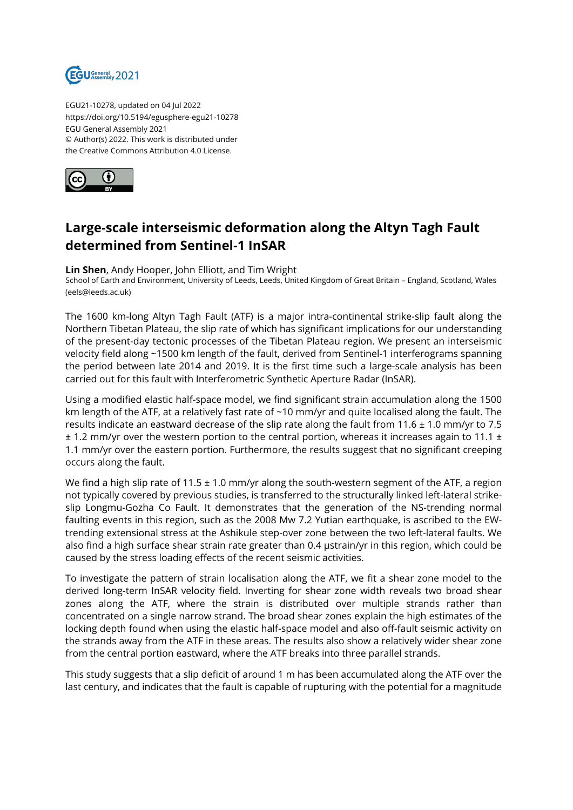

EGU21-10278, updated on 04 Jul 2022 https://doi.org/10.5194/egusphere-egu21-10278 EGU General Assembly 2021 © Author(s) 2022. This work is distributed under the Creative Commons Attribution 4.0 License.



## **Large-scale interseismic deformation along the Altyn Tagh Fault determined from Sentinel-1 InSAR**

## **Lin Shen**, Andy Hooper, John Elliott, and Tim Wright

School of Earth and Environment, University of Leeds, Leeds, United Kingdom of Great Britain – England, Scotland, Wales (eels@leeds.ac.uk)

The 1600 km-long Altyn Tagh Fault (ATF) is a major intra-continental strike-slip fault along the Northern Tibetan Plateau, the slip rate of which has significant implications for our understanding of the present-day tectonic processes of the Tibetan Plateau region. We present an interseismic velocity field along ~1500 km length of the fault, derived from Sentinel-1 interferograms spanning the period between late 2014 and 2019. It is the first time such a large-scale analysis has been carried out for this fault with Interferometric Synthetic Aperture Radar (InSAR).

Using a modified elastic half-space model, we find significant strain accumulation along the 1500 km length of the ATF, at a relatively fast rate of ~10 mm/yr and quite localised along the fault. The results indicate an eastward decrease of the slip rate along the fault from 11.6  $\pm$  1.0 mm/yr to 7.5  $\pm$  1.2 mm/yr over the western portion to the central portion, whereas it increases again to 11.1  $\pm$ 1.1 mm/yr over the eastern portion. Furthermore, the results suggest that no significant creeping occurs along the fault.

We find a high slip rate of 11.5  $\pm$  1.0 mm/yr along the south-western segment of the ATF, a region not typically covered by previous studies, is transferred to the structurally linked left-lateral strikeslip Longmu-Gozha Co Fault. It demonstrates that the generation of the NS-trending normal faulting events in this region, such as the 2008 Mw 7.2 Yutian earthquake, is ascribed to the EWtrending extensional stress at the Ashikule step-over zone between the two left-lateral faults. We also find a high surface shear strain rate greater than 0.4 μstrain/yr in this region, which could be caused by the stress loading effects of the recent seismic activities.

To investigate the pattern of strain localisation along the ATF, we fit a shear zone model to the derived long-term InSAR velocity field. Inverting for shear zone width reveals two broad shear zones along the ATF, where the strain is distributed over multiple strands rather than concentrated on a single narrow strand. The broad shear zones explain the high estimates of the locking depth found when using the elastic half-space model and also off-fault seismic activity on the strands away from the ATF in these areas. The results also show a relatively wider shear zone from the central portion eastward, where the ATF breaks into three parallel strands.

This study suggests that a slip deficit of around 1 m has been accumulated along the ATF over the last century, and indicates that the fault is capable of rupturing with the potential for a magnitude